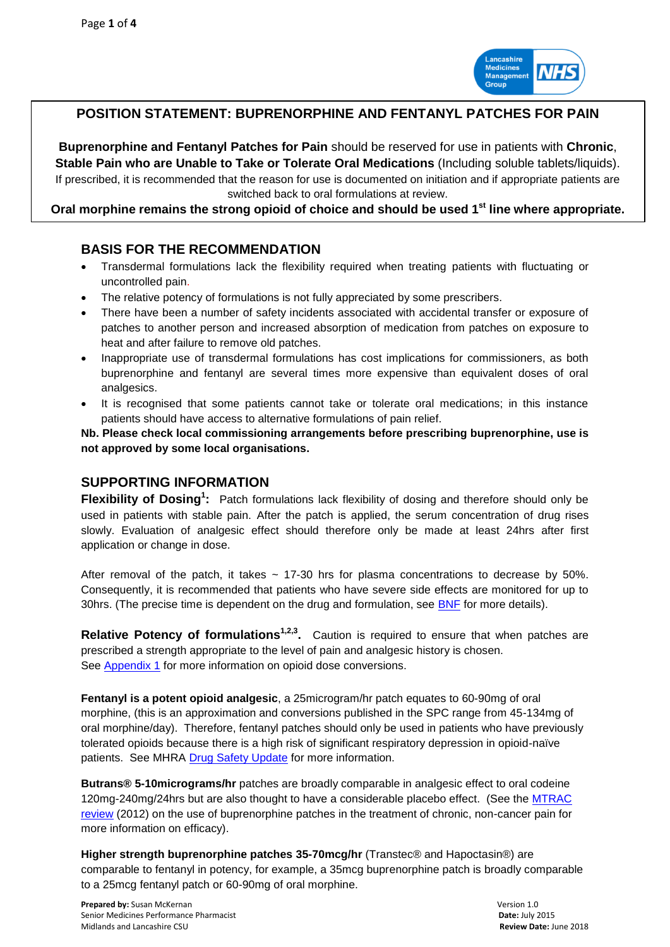

# **POSITION STATEMENT: BUPRENORPHINE AND FENTANYL PATCHES FOR PAIN**

**Buprenorphine and Fentanyl Patches for Pain** should be reserved for use in patients with **Chronic**, **Stable Pain who are Unable to Take or Tolerate Oral Medications** (Including soluble tablets/liquids). If prescribed, it is recommended that the reason for use is documented on initiation and if appropriate patients are switched back to oral formulations at review.

**Oral morphine remains the strong opioid of choice and should be used 1st line where appropriate.**

# **BASIS FOR THE RECOMMENDATION**

- Transdermal formulations lack the flexibility required when treating patients with fluctuating or uncontrolled pain.
- The relative potency of formulations is not fully appreciated by some prescribers.
- There have been a number of safety incidents associated with accidental transfer or exposure of patches to another person and increased absorption of medication from patches on exposure to heat and after failure to remove old patches.
- Inappropriate use of transdermal formulations has cost implications for commissioners, as both buprenorphine and fentanyl are several times more expensive than equivalent doses of oral analgesics.
- It is recognised that some patients cannot take or tolerate oral medications; in this instance patients should have access to alternative formulations of pain relief.

**Nb. Please check local commissioning arrangements before prescribing buprenorphine, use is not approved by some local organisations.**

## **SUPPORTING INFORMATION**

**Flexibility of Dosing<sup>1</sup>:** Patch formulations lack flexibility of dosing and therefore should only be used in patients with stable pain. After the patch is applied, the serum concentration of drug rises slowly. Evaluation of analgesic effect should therefore only be made at least 24hrs after first application or change in dose.

After removal of the patch, it takes  $\sim$  17-30 hrs for plasma concentrations to decrease by 50%. Consequently, it is recommended that patients who have severe side effects are monitored for up to 30hrs. (The precise time is dependent on the drug and formulation, see **BNF** for more details).

**Relative Potency of formulations<sup>1,2,3</sup>.** Caution is required to ensure that when patches are prescribed a strength appropriate to the level of pain and analgesic history is chosen. See [Appendix 1](#page-3-0) for more information on opioid dose conversions.

**Fentanyl is a potent opioid analgesic**, a 25microgram/hr patch equates to 60-90mg of oral morphine, (this is an approximation and conversions published in the SPC range from 45-134mg of oral morphine/day). Therefore, fentanyl patches should only be used in patients who have previously tolerated opioids because there is a high risk of significant respiratory depression in opioid-naïve patients. See MHRA [Drug Safety Update](http://webarchive.nationalarchives.gov.uk/20141205150130/http:/www.mhra.gov.uk/Safetyinformation/DrugSafetyUpdate/CON087796) for more information.

**Butrans® 5-10micrograms/hr** patches are broadly comparable in analgesic effect to oral codeine 120mg-240mg/24hrs but are also thought to have a considerable placebo effect. (See the [MTRAC](http://centreformedicinesoptimisation.co.uk/download/62aeef5064af7cff23f231651cf1e1c6/Buprenorphine%20on%2017/3/15.)  [review](http://centreformedicinesoptimisation.co.uk/download/62aeef5064af7cff23f231651cf1e1c6/Buprenorphine%20on%2017/3/15.) (2012) on the use of buprenorphine patches in the treatment of chronic, non-cancer pain for more information on efficacy).

**Higher strength buprenorphine patches 35-70mcg/hr** (Transtec® and Hapoctasin®) are comparable to fentanyl in potency, for example, a 35mcg buprenorphine patch is broadly comparable to a 25mcg fentanyl patch or 60-90mg of oral morphine.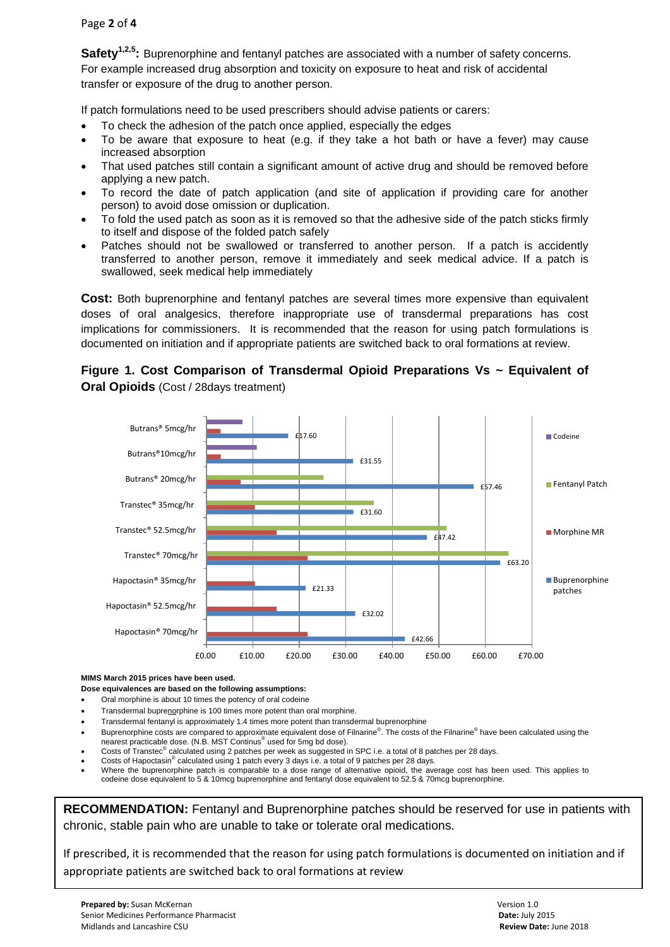### Page **2** of **4**

**Safety1,2,5:** Buprenorphine and fentanyl patches are associated with a number of safety concerns. For example increased drug absorption and toxicity on exposure to heat and risk of accidental transfer or exposure of the drug to another person.

If patch formulations need to be used prescribers should advise patients or carers:

- To check the adhesion of the patch once applied, especially the edges
- To be aware that exposure to heat (e.g. if they take a hot bath or have a fever) may cause increased absorption
- That used patches still contain a significant amount of active drug and should be removed before applying a new patch.
- To record the date of patch application (and site of application if providing care for another person) to avoid dose omission or duplication.
- To fold the used patch as soon as it is removed so that the adhesive side of the patch sticks firmly to itself and dispose of the folded patch safely
- Patches should not be swallowed or transferred to another person. If a patch is accidently transferred to another person, remove it immediately and seek medical advice. If a patch is swallowed, seek medical help immediately

**Cost:** Both buprenorphine and fentanyl patches are several times more expensive than equivalent doses of oral analgesics, therefore inappropriate use of transdermal preparations has cost implications for commissioners. It is recommended that the reason for using patch formulations is documented on initiation and if appropriate patients are switched back to oral formations at review.

## **Figure 1. Cost Comparison of Transdermal Opioid Preparations Vs ~ Equivalent of Oral Opioids** (Cost / 28days treatment)



#### **MIMS March 2015 prices have been used.**

**Dose equivalences are based on the following assumptions:**

- Oral morphine is about 10 times the potency of oral codeine
- Transdermal buprenorphine is 100 times more potent than oral morphine.
- Transdermal fentanyl is approximately 1.4 times more potent than transdermal buprenorphine
- Buprenorphine costs are compared to approximate equivalent dose of Filnarine<sup>®</sup>. The costs of the Filnarine<sup>®</sup> have been calculated using the nearest practicable dose. (N.B. MST Continus<sup>®</sup> used for 5mg bd dose).
- Costs of Transtec<sup>®</sup> calculated using 2 patches per week as suggested in SPC i.e. a total of 8 patches per 28 days.
- Costs of Hapoctasin® calculated using 1 patch every 3 days i.e. a total of 9 patches per 28 days*.*
- Where the buprenorphine patch is comparable to a dose range of alternative opioid, the average cost has been used. This applies to codeine dose equivalent to 5 & 10mcg buprenorphine and fentanyl dose equivalent to 52.5 & 70mcg buprenorphine.

**RECOMMENDATION:** Fentanyl and Buprenorphine patches should be reserved for use in patients with chronic, stable pain who are unable to take or tolerate oral medications.

If prescribed, it is recommended that the reason for using patch formulations is documented on initiation and if appropriate patients are switched back to oral formations at review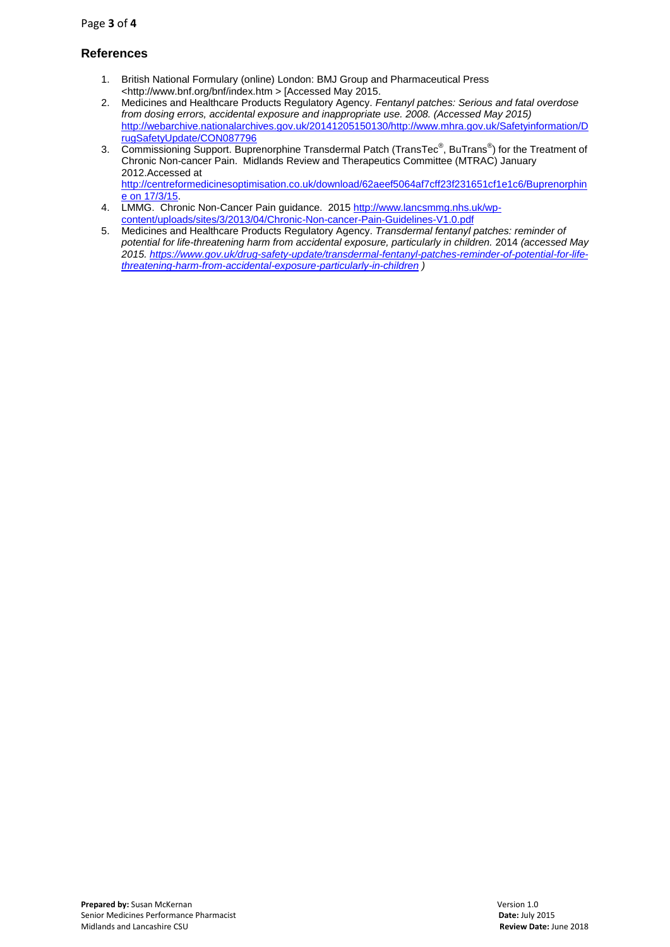## **References**

- 1. British National Formulary (online) London: BMJ Group and Pharmaceutical Press <http://www.bnf.org/bnf/index.htm > [Accessed May 2015.
- 2. Medicines and Healthcare Products Regulatory Agency. *Fentanyl patches: Serious and fatal overdose from dosing errors, accidental exposure and inappropriate use. 2008. (Accessed May 2015)* [http://webarchive.nationalarchives.gov.uk/20141205150130/http://www.mhra.gov.uk/Safetyinformation/D](http://webarchive.nationalarchives.gov.uk/20141205150130/http:/www.mhra.gov.uk/Safetyinformation/DrugSafetyUpdate/CON087796) [rugSafetyUpdate/CON087796](http://webarchive.nationalarchives.gov.uk/20141205150130/http:/www.mhra.gov.uk/Safetyinformation/DrugSafetyUpdate/CON087796)
- 3. Commissioning Support. Buprenorphine Transdermal Patch (TransTec® , BuTrans® ) for the Treatment of Chronic Non-cancer Pain. Midlands Review and Therapeutics Committee (MTRAC) January 2012.Accessed at [http://centreformedicinesoptimisation.co.uk/download/62aeef5064af7cff23f231651cf1e1c6/Buprenorphin](http://centreformedicinesoptimisation.co.uk/download/62aeef5064af7cff23f231651cf1e1c6/Buprenorphine%20on%2017/3/15) [e on 17/3/15.](http://centreformedicinesoptimisation.co.uk/download/62aeef5064af7cff23f231651cf1e1c6/Buprenorphine%20on%2017/3/15)
- 4. LMMG. Chronic Non-Cancer Pain guidance. 2015 [http://www.lancsmmg.nhs.uk/wp](http://www.lancsmmg.nhs.uk/wp-content/uploads/sites/3/2013/04/Chronic-Non-cancer-Pain-Guidelines-V1.0.pdf)[content/uploads/sites/3/2013/04/Chronic-Non-cancer-Pain-Guidelines-V1.0.pdf](http://www.lancsmmg.nhs.uk/wp-content/uploads/sites/3/2013/04/Chronic-Non-cancer-Pain-Guidelines-V1.0.pdf)
- 5. Medicines and Healthcare Products Regulatory Agency. *Transdermal fentanyl patches: reminder of potential for life-threatening harm from accidental exposure, particularly in children.* 2014 *(accessed May 2015. [https://www.gov.uk/drug-safety-update/transdermal-fentanyl-patches-reminder-of-potential-for-life](https://www.gov.uk/drug-safety-update/transdermal-fentanyl-patches-reminder-of-potential-for-life-threatening-harm-from-accidental-exposure-particularly-in-children)[threatening-harm-from-accidental-exposure-particularly-in-children](https://www.gov.uk/drug-safety-update/transdermal-fentanyl-patches-reminder-of-potential-for-life-threatening-harm-from-accidental-exposure-particularly-in-children) )*